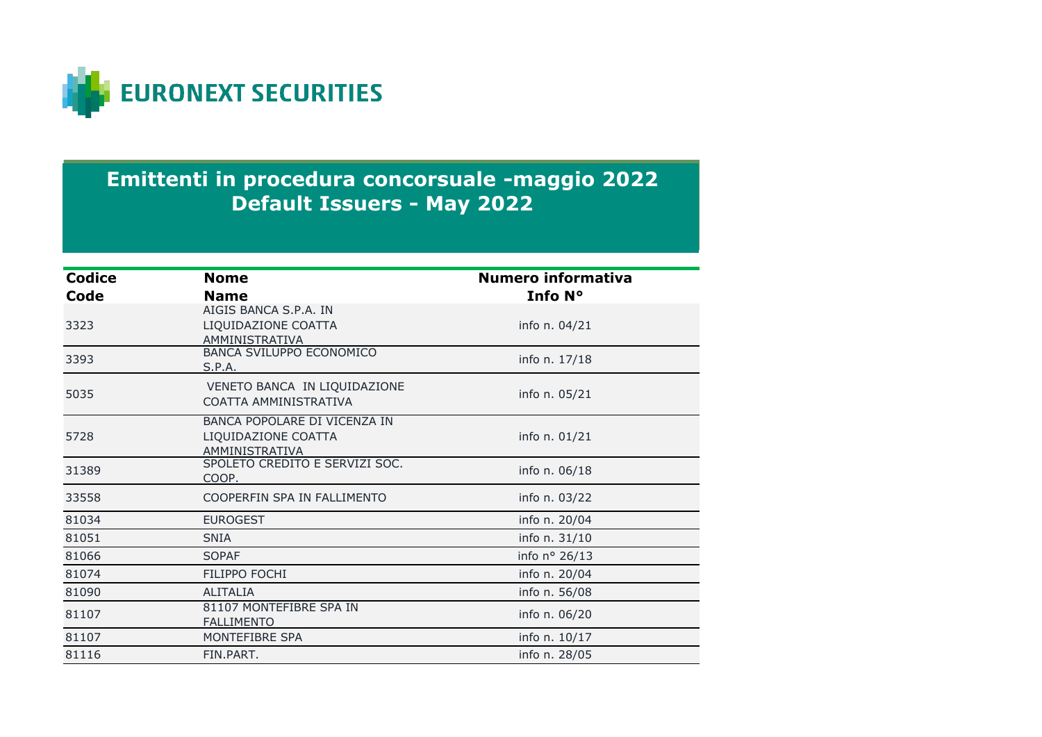

## **Emittenti in procedura concorsuale -maggio 2022 Default Issuers - May 2022**

| <b>Codice</b> | <b>Nome</b>                                                           | <b>Numero informativa</b> |
|---------------|-----------------------------------------------------------------------|---------------------------|
| Code          | <b>Name</b>                                                           | Info N°                   |
| 3323          | AIGIS BANCA S.P.A. IN<br>LIQUIDAZIONE COATTA<br>AMMINISTRATIVA        | info n. 04/21             |
| 3393          | <b>BANCA SVILUPPO ECONOMICO</b><br>S.P.A.                             | info n. 17/18             |
| 5035          | VENETO BANCA IN LIQUIDAZIONE<br>COATTA AMMINISTRATIVA                 | info n. 05/21             |
| 5728          | BANCA POPOLARE DI VICENZA IN<br>LIQUIDAZIONE COATTA<br>AMMINISTRATIVA | info n. 01/21             |
| 31389         | SPOLETO CREDITO E SERVIZI SOC.<br>COOP.                               | info n. 06/18             |
| 33558         | COOPERFIN SPA IN FALLIMENTO                                           | info n. 03/22             |
| 81034         | <b>EUROGEST</b>                                                       | info n. 20/04             |
| 81051         | <b>SNIA</b>                                                           | info n. 31/10             |
| 81066         | <b>SOPAF</b>                                                          | info nº 26/13             |
| 81074         | <b>FILIPPO FOCHI</b>                                                  | info n. 20/04             |
| 81090         | <b>ALITALIA</b>                                                       | info n. 56/08             |
| 81107         | 81107 MONTEFIBRE SPA IN<br><b>FALLIMENTO</b>                          | info n. 06/20             |
| 81107         | MONTEFIBRE SPA                                                        | info n. 10/17             |
| 81116         | FIN.PART.                                                             | info n. 28/05             |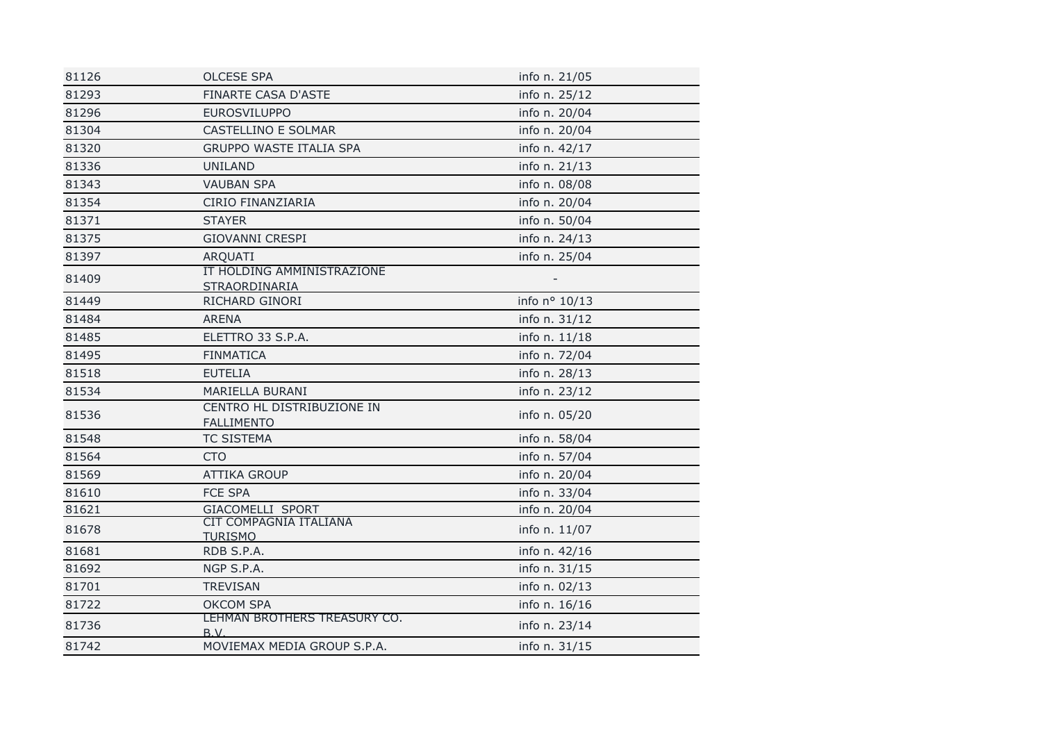| 81126 | <b>OLCESE SPA</b>                               | info n. 21/05 |  |
|-------|-------------------------------------------------|---------------|--|
| 81293 | <b>FINARTE CASA D'ASTE</b>                      | info n. 25/12 |  |
| 81296 | <b>EUROSVILUPPO</b>                             | info n. 20/04 |  |
| 81304 | CASTELLINO E SOLMAR                             | info n. 20/04 |  |
| 81320 | <b>GRUPPO WASTE ITALIA SPA</b>                  | info n. 42/17 |  |
| 81336 | <b>UNILAND</b>                                  | info n. 21/13 |  |
| 81343 | <b>VAUBAN SPA</b>                               | info n. 08/08 |  |
| 81354 | CIRIO FINANZIARIA                               | info n. 20/04 |  |
| 81371 | <b>STAYER</b>                                   | info n. 50/04 |  |
| 81375 | <b>GIOVANNI CRESPI</b>                          | info n. 24/13 |  |
| 81397 | ARQUATI                                         | info n. 25/04 |  |
| 81409 | IT HOLDING AMMINISTRAZIONE<br>STRAORDINARIA     |               |  |
| 81449 | RICHARD GINORI                                  | info nº 10/13 |  |
| 81484 | <b>ARENA</b>                                    | info n. 31/12 |  |
| 81485 | ELETTRO 33 S.P.A.                               | info n. 11/18 |  |
| 81495 | <b>FINMATICA</b>                                | info n. 72/04 |  |
| 81518 | <b>EUTELIA</b>                                  | info n. 28/13 |  |
| 81534 | MARIELLA BURANI                                 | info n. 23/12 |  |
| 81536 | CENTRO HL DISTRIBUZIONE IN<br><b>FALLIMENTO</b> | info n. 05/20 |  |
| 81548 | <b>TC SISTEMA</b>                               | info n. 58/04 |  |
| 81564 | <b>CTO</b>                                      | info n. 57/04 |  |
| 81569 | <b>ATTIKA GROUP</b>                             | info n. 20/04 |  |
| 81610 | <b>FCE SPA</b>                                  | info n. 33/04 |  |
| 81621 | GIACOMELLI SPORT                                | info n. 20/04 |  |
| 81678 | CIT COMPAGNIA ITALIANA<br><b>TURISMO</b>        | info n. 11/07 |  |
| 81681 | RDB S.P.A.                                      | info n. 42/16 |  |
| 81692 | NGP S.P.A.                                      | info n. 31/15 |  |
| 81701 | <b>TREVISAN</b>                                 | info n. 02/13 |  |
| 81722 | <b>OKCOM SPA</b>                                | info n. 16/16 |  |
| 81736 | LEHMAN BROTHERS TREASURY CO.<br>B.V.            | info n. 23/14 |  |
| 81742 | MOVIEMAX MEDIA GROUP S.P.A.                     | info n. 31/15 |  |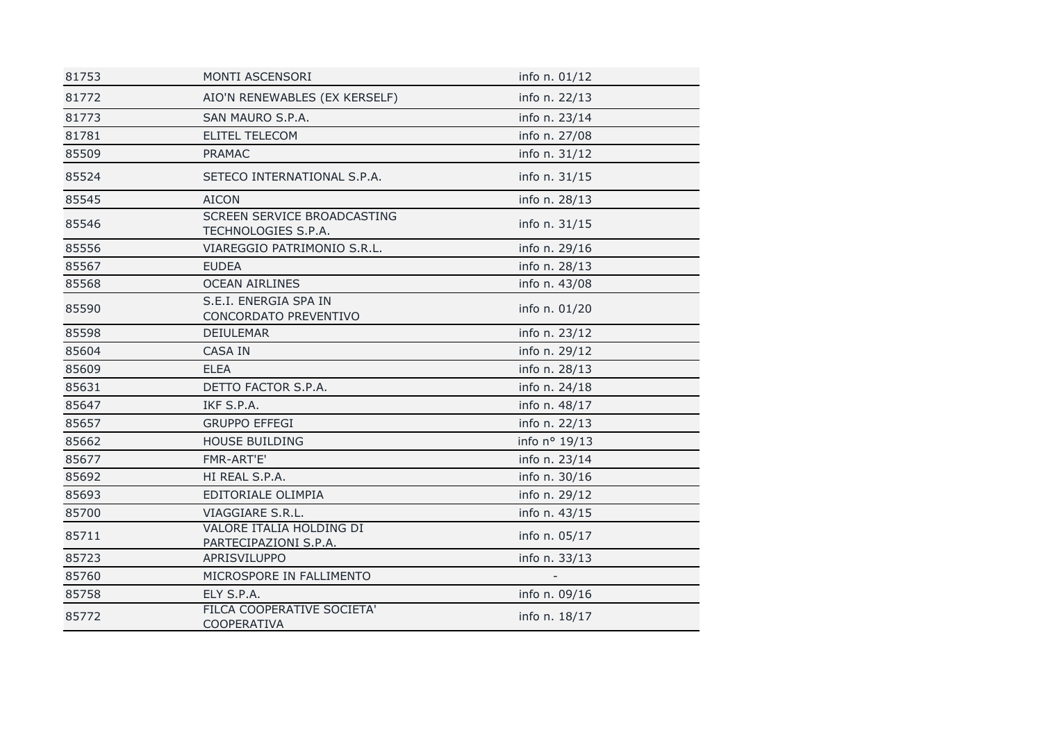| 81753 | MONTI ASCENSORI                                    | info n. 01/12 |
|-------|----------------------------------------------------|---------------|
| 81772 | AIO'N RENEWABLES (EX KERSELF)                      | info n. 22/13 |
| 81773 | SAN MAURO S.P.A.                                   | info n. 23/14 |
| 81781 | <b>ELITEL TELECOM</b>                              | info n. 27/08 |
| 85509 | <b>PRAMAC</b>                                      | info n. 31/12 |
| 85524 | SETECO INTERNATIONAL S.P.A.                        | info n. 31/15 |
| 85545 | <b>AICON</b>                                       | info n. 28/13 |
| 85546 | SCREEN SERVICE BROADCASTING<br>TECHNOLOGIES S.P.A. | info n. 31/15 |
| 85556 | VIAREGGIO PATRIMONIO S.R.L.                        | info n. 29/16 |
| 85567 | <b>EUDEA</b>                                       | info n. 28/13 |
| 85568 | <b>OCEAN AIRLINES</b>                              | info n. 43/08 |
| 85590 | S.E.I. ENERGIA SPA IN<br>CONCORDATO PREVENTIVO     | info n. 01/20 |
| 85598 | <b>DEIULEMAR</b>                                   | info n. 23/12 |
| 85604 | <b>CASA IN</b>                                     | info n. 29/12 |
| 85609 | <b>ELEA</b>                                        | info n. 28/13 |
| 85631 | DETTO FACTOR S.P.A.                                | info n. 24/18 |
| 85647 | IKF S.P.A.                                         | info n. 48/17 |
| 85657 | <b>GRUPPO EFFEGI</b>                               | info n. 22/13 |
| 85662 | <b>HOUSE BUILDING</b>                              | info nº 19/13 |
| 85677 | FMR-ART'E'                                         | info n. 23/14 |
| 85692 | HI REAL S.P.A.                                     | info n. 30/16 |
| 85693 | EDITORIALE OLIMPIA                                 | info n. 29/12 |
| 85700 | VIAGGIARE S.R.L.                                   | info n. 43/15 |
| 85711 | VALORE ITALIA HOLDING DI<br>PARTECIPAZIONI S.P.A.  | info n. 05/17 |
| 85723 | APRISVILUPPO                                       | info n. 33/13 |
| 85760 | MICROSPORE IN FALLIMENTO                           |               |
| 85758 | ELY S.P.A.                                         | info n. 09/16 |
| 85772 | FILCA COOPERATIVE SOCIETA'<br><b>COOPERATIVA</b>   | info n. 18/17 |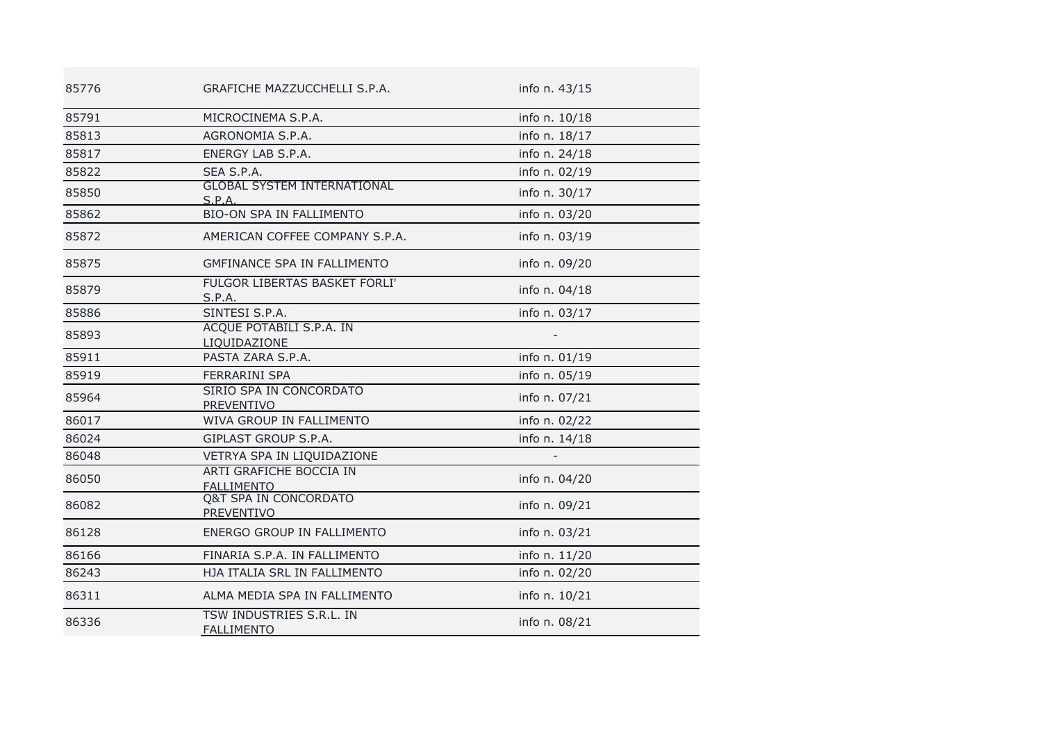| 85776 | GRAFICHE MAZZUCCHELLI S.P.A.                   | info n. 43/15 |
|-------|------------------------------------------------|---------------|
| 85791 | MICROCINEMA S.P.A.                             | info n. 10/18 |
| 85813 | AGRONOMIA S.P.A.                               | info n. 18/17 |
| 85817 | ENERGY LAB S.P.A.                              | info n. 24/18 |
| 85822 | SEA S.P.A.                                     | info n. 02/19 |
| 85850 | <b>GLOBAL SYSTEM INTERNATIONAL</b><br>S.P.A.   | info n. 30/17 |
| 85862 | <b>BIO-ON SPA IN FALLIMENTO</b>                | info n. 03/20 |
| 85872 | AMERICAN COFFEE COMPANY S.P.A.                 | info n. 03/19 |
| 85875 | <b>GMFINANCE SPA IN FALLIMENTO</b>             | info n. 09/20 |
| 85879 | FULGOR LIBERTAS BASKET FORLI'<br>S.P.A.        | info n. 04/18 |
| 85886 | SINTESI S.P.A.                                 | info n. 03/17 |
| 85893 | ACQUE POTABILI S.P.A. IN<br>LIQUIDAZIONE       |               |
| 85911 | PASTA ZARA S.P.A.                              | info n. 01/19 |
| 85919 | <b>FERRARINI SPA</b>                           | info n. 05/19 |
| 85964 | SIRIO SPA IN CONCORDATO<br><b>PREVENTIVO</b>   | info n. 07/21 |
| 86017 | WIVA GROUP IN FALLIMENTO                       | info n. 02/22 |
| 86024 | GIPLAST GROUP S.P.A.                           | info n. 14/18 |
| 86048 | VETRYA SPA IN LIQUIDAZIONE                     |               |
| 86050 | ARTI GRAFICHE BOCCIA IN<br><b>FALLIMENTO</b>   | info n. 04/20 |
| 86082 | <b>Q&amp;T SPA IN CONCORDATO</b><br>PREVENTIVO | info n. 09/21 |
| 86128 | ENERGO GROUP IN FALLIMENTO                     | info n. 03/21 |
| 86166 | FINARIA S.P.A. IN FALLIMENTO                   | info n. 11/20 |
| 86243 | HJA ITALIA SRL IN FALLIMENTO                   | info n. 02/20 |
| 86311 | ALMA MEDIA SPA IN FALLIMENTO                   | info n. 10/21 |
| 86336 | TSW INDUSTRIES S.R.L. IN<br><b>FALLIMENTO</b>  | info n. 08/21 |